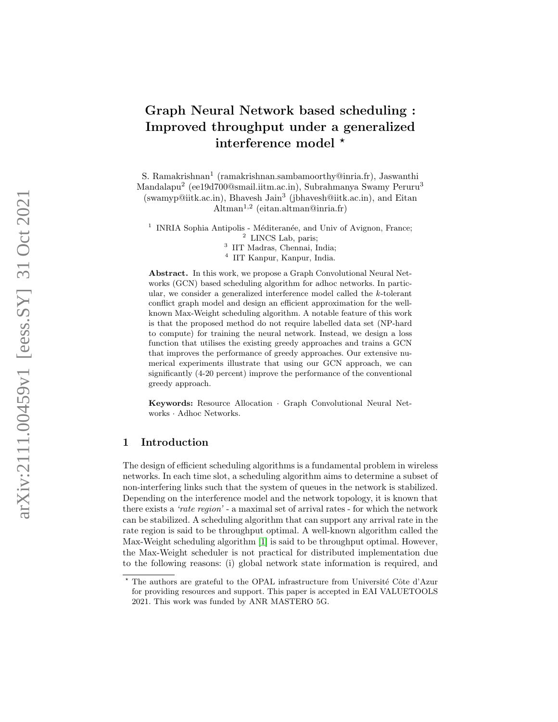# Graph Neural Network based scheduling : Improved throughput under a generalized interference model \*

S. Ramakrishnan 1 (ramakrishnan.sambamoorthy@inria.fr), Jaswanthi Mandalapu<sup>2</sup> (ee19d700@smail.iitm.ac.in), Subrahmanya Swamy Peruru<sup>3</sup> (swamyp@iitk.ac.in), Bhavesh Jain 3 (jbhavesh@iitk.ac.in), and Eitan Altman 1 , 2 (eitan.altman@inria.fr)

<sup>1</sup> INRIA Sophia Antipolis - Méditeranée, and Univ of Avignon, France;  $^{\rm 2}$  LINCS Lab, paris;

3 IIT Madras, Chennai, India;

4 IIT Kanpur, Kanpur, India.

Abstract. In this work, we propose a Graph Convolutional Neural Networks (GCN) based scheduling algorithm for adhoc networks. In particular, we consider a generalized interference model called the k-tolerant conflict graph model and design an efficient approximation for the wellknown Max-Weight scheduling algorithm. A notable feature of this work is that the proposed method do not require labelled data set (NP-hard to compute) for training the neural network. Instead, we design a loss function that utilises the existing greedy approaches and trains a GCN that improves the performance of greedy approaches. Our extensive numerical experiments illustrate that using our GCN approach, we can significantly (4-20 percent) improve the performance of the conventional greedy approach.

Keywords: Resource Allocation · Graph Convolutional Neural Networks · Adhoc Networks.

# 1 Introduction

The design of efficient scheduling algorithms is a fundamental problem in wireless networks. In each time slot, a scheduling algorithm aims to determine a subset of non-interfering links such that the system of queues in the network is stabilized. Depending on the interference model and the network topology, it is known that there exists a 'rate region' - a maximal set of arrival rates - for which the network can be stabilized. A scheduling algorithm that can support any arrival rate in the rate region is said to be throughput optimal. A well-known algorithm called the Max-Weight scheduling algorithm [\[1\]](#page-9-0) is said to be throughput optimal. However, the Max-Weight scheduler is not practical for distributed implementation due to the following reasons: (i) global network state information is required, and

The authors are grateful to the OPAL infrastructure from Université Côte d'Azur for providing resources and support. This paper is accepted in EAI VALUETOOLS 2021. This work was funded by ANR MASTERO 5G.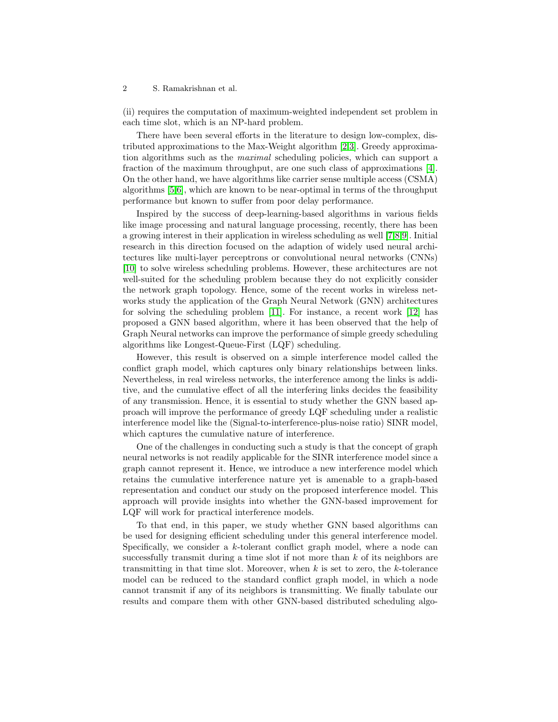(ii) requires the computation of maximum-weighted independent set problem in each time slot, which is an NP-hard problem.

There have been several efforts in the literature to design low-complex, distributed approximations to the Max-Weight algorithm [\[2,](#page-9-1)[3\]](#page-9-2). Greedy approximation algorithms such as the maximal scheduling policies, which can support a fraction of the maximum throughput, are one such class of approximations [\[4\]](#page-9-3). On the other hand, we have algorithms like carrier sense multiple access (CSMA) algorithms [\[5](#page-9-4)[,6\]](#page-9-5), which are known to be near-optimal in terms of the throughput performance but known to suffer from poor delay performance.

Inspired by the success of deep-learning-based algorithms in various fields like image processing and natural language processing, recently, there has been a growing interest in their application in wireless scheduling as well [\[7,](#page-9-6)[8,](#page-9-7)[9\]](#page-9-8). Initial research in this direction focused on the adaption of widely used neural architectures like multi-layer perceptrons or convolutional neural networks (CNNs) [\[10\]](#page-9-9) to solve wireless scheduling problems. However, these architectures are not well-suited for the scheduling problem because they do not explicitly consider the network graph topology. Hence, some of the recent works in wireless networks study the application of the Graph Neural Network (GNN) architectures for solving the scheduling problem [\[11\]](#page-9-10). For instance, a recent work [\[12\]](#page-9-11) has proposed a GNN based algorithm, where it has been observed that the help of Graph Neural networks can improve the performance of simple greedy scheduling algorithms like Longest-Queue-First (LQF) scheduling.

However, this result is observed on a simple interference model called the conflict graph model, which captures only binary relationships between links. Nevertheless, in real wireless networks, the interference among the links is additive, and the cumulative effect of all the interfering links decides the feasibility of any transmission. Hence, it is essential to study whether the GNN based approach will improve the performance of greedy LQF scheduling under a realistic interference model like the (Signal-to-interference-plus-noise ratio) SINR model, which captures the cumulative nature of interference.

One of the challenges in conducting such a study is that the concept of graph neural networks is not readily applicable for the SINR interference model since a graph cannot represent it. Hence, we introduce a new interference model which retains the cumulative interference nature yet is amenable to a graph-based representation and conduct our study on the proposed interference model. This approach will provide insights into whether the GNN-based improvement for LQF will work for practical interference models.

To that end, in this paper, we study whether GNN based algorithms can be used for designing efficient scheduling under this general interference model. Specifically, we consider a  $k$ -tolerant conflict graph model, where a node can successfully transmit during a time slot if not more than  $k$  of its neighbors are transmitting in that time slot. Moreover, when  $k$  is set to zero, the  $k$ -tolerance model can be reduced to the standard conflict graph model, in which a node cannot transmit if any of its neighbors is transmitting. We finally tabulate our results and compare them with other GNN-based distributed scheduling algo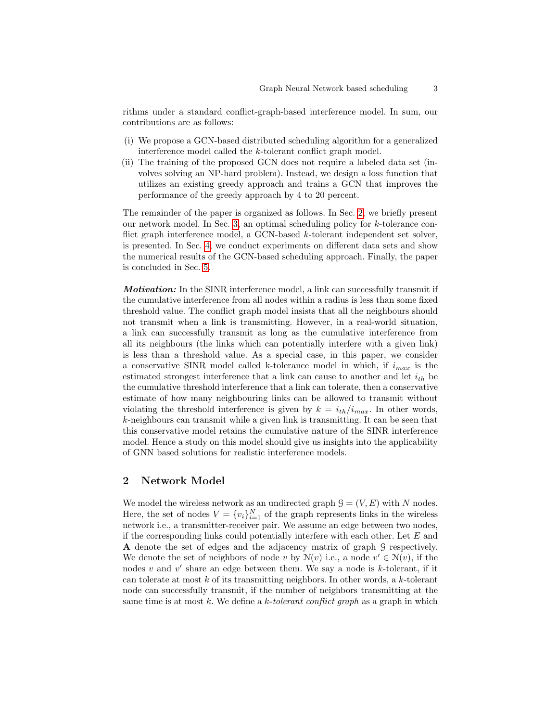rithms under a standard conflict-graph-based interference model. In sum, our contributions are as follows:

- (i) We propose a GCN-based distributed scheduling algorithm for a generalized interference model called the k-tolerant conflict graph model.
- (ii) The training of the proposed GCN does not require a labeled data set (involves solving an NP-hard problem). Instead, we design a loss function that utilizes an existing greedy approach and trains a GCN that improves the performance of the greedy approach by 4 to 20 percent.

The remainder of the paper is organized as follows. In Sec. [2,](#page-2-0) we briefly present our network model. In Sec. [3,](#page-4-0) an optimal scheduling policy for k-tolerance conflict graph interference model, a GCN-based k-tolerant independent set solver, is presented. In Sec. [4,](#page-6-0) we conduct experiments on different data sets and show the numerical results of the GCN-based scheduling approach. Finally, the paper is concluded in Sec. [5.](#page-8-0)

*Motivation:* In the SINR interference model, a link can successfully transmit if the cumulative interference from all nodes within a radius is less than some fixed threshold value. The conflict graph model insists that all the neighbours should not transmit when a link is transmitting. However, in a real-world situation, a link can successfully transmit as long as the cumulative interference from all its neighbours (the links which can potentially interfere with a given link) is less than a threshold value. As a special case, in this paper, we consider a conservative SINR model called k-tolerance model in which, if  $i_{max}$  is the estimated strongest interference that a link can cause to another and let  $i_{th}$  be the cumulative threshold interference that a link can tolerate, then a conservative estimate of how many neighbouring links can be allowed to transmit without violating the threshold interference is given by  $k = i_{th}/i_{max}$ . In other words, k-neighbours can transmit while a given link is transmitting. It can be seen that this conservative model retains the cumulative nature of the SINR interference model. Hence a study on this model should give us insights into the applicability of GNN based solutions for realistic interference models.

## <span id="page-2-0"></span>2 Network Model

We model the wireless network as an undirected graph  $\mathcal{G} = (V, E)$  with N nodes. Here, the set of nodes  $V = \{v_i\}_{i=1}^N$  of the graph represents links in the wireless network i.e., a transmitter-receiver pair. We assume an edge between two nodes, if the corresponding links could potentially interfere with each other. Let  $E$  and A denote the set of edges and the adjacency matrix of graph G respectively. We denote the set of neighbors of node v by  $\mathcal{N}(v)$  i.e., a node  $v' \in \mathcal{N}(v)$ , if the nodes  $v$  and  $v'$  share an edge between them. We say a node is  $k$ -tolerant, if it can tolerate at most k of its transmitting neighbors. In other words, a k-tolerant node can successfully transmit, if the number of neighbors transmitting at the same time is at most  $k$ . We define a  $k$ -tolerant conflict graph as a graph in which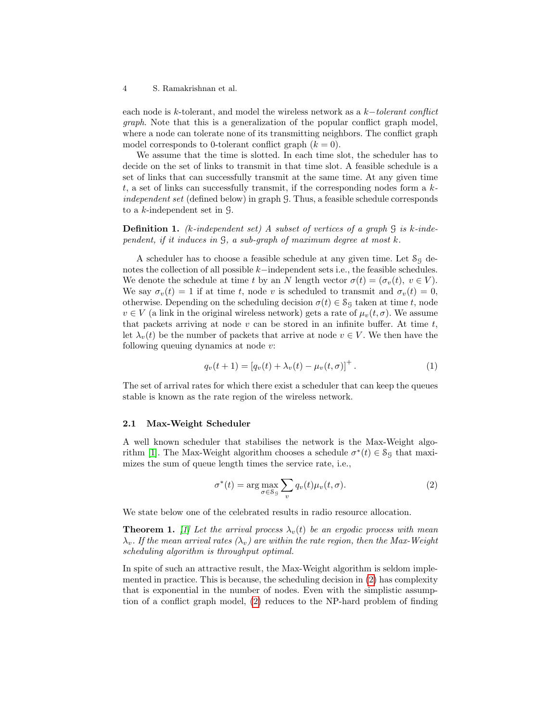each node is k-tolerant, and model the wireless network as a k−tolerant conflict graph. Note that this is a generalization of the popular conflict graph model, where a node can tolerate none of its transmitting neighbors. The conflict graph model corresponds to 0-tolerant conflict graph  $(k = 0)$ .

We assume that the time is slotted. In each time slot, the scheduler has to decide on the set of links to transmit in that time slot. A feasible schedule is a set of links that can successfully transmit at the same time. At any given time t, a set of links can successfully transmit, if the corresponding nodes form a  $k$ independent set (defined below) in graph G. Thus, a feasible schedule corresponds to a k-independent set in G.

**Definition 1.** (k-independent set) A subset of vertices of a graph  $\Im$  is k-independent, if it induces in G, a sub-graph of maximum degree at most k.

A scheduler has to choose a feasible schedule at any given time. Let  $\mathcal{S}_{\mathcal{G}}$  denotes the collection of all possible k–independent sets i.e., the feasible schedules. We denote the schedule at time t by an N length vector  $\sigma(t) = (\sigma_v(t), v \in V)$ . We say  $\sigma_v(t) = 1$  if at time t, node v is scheduled to transmit and  $\sigma_v(t) = 0$ , otherwise. Depending on the scheduling decision  $\sigma(t) \in S_{\mathcal{G}}$  taken at time t, node  $v \in V$  (a link in the original wireless network) gets a rate of  $\mu_v(t, \sigma)$ . We assume that packets arriving at node  $v$  can be stored in an infinite buffer. At time  $t$ , let  $\lambda_v(t)$  be the number of packets that arrive at node  $v \in V$ . We then have the following queuing dynamics at node v:

$$
q_v(t+1) = [q_v(t) + \lambda_v(t) - \mu_v(t,\sigma)]^+.
$$
 (1)

The set of arrival rates for which there exist a scheduler that can keep the queues stable is known as the rate region of the wireless network.

#### 2.1 Max-Weight Scheduler

A well known scheduler that stabilises the network is the Max-Weight algo-rithm [\[1\]](#page-9-0). The Max-Weight algorithm chooses a schedule  $\sigma^*(t) \in \mathcal{S}_{\mathcal{G}}$  that maximizes the sum of queue length times the service rate, i.e.,

<span id="page-3-0"></span>
$$
\sigma^*(t) = \arg\max_{\sigma \in \mathcal{S}_{\mathcal{G}}} \sum_v q_v(t) \mu_v(t, \sigma). \tag{2}
$$

We state below one of the celebrated results in radio resource allocation.

**Theorem 1.** [\[1\]](#page-9-0) Let the arrival process  $\lambda_v(t)$  be an ergodic process with mean  $\lambda_v$ . If the mean arrival rates  $(\lambda_v)$  are within the rate region, then the Max-Weight scheduling algorithm is throughput optimal.

In spite of such an attractive result, the Max-Weight algorithm is seldom implemented in practice. This is because, the scheduling decision in [\(2\)](#page-3-0) has complexity that is exponential in the number of nodes. Even with the simplistic assumption of a conflict graph model, [\(2\)](#page-3-0) reduces to the NP-hard problem of finding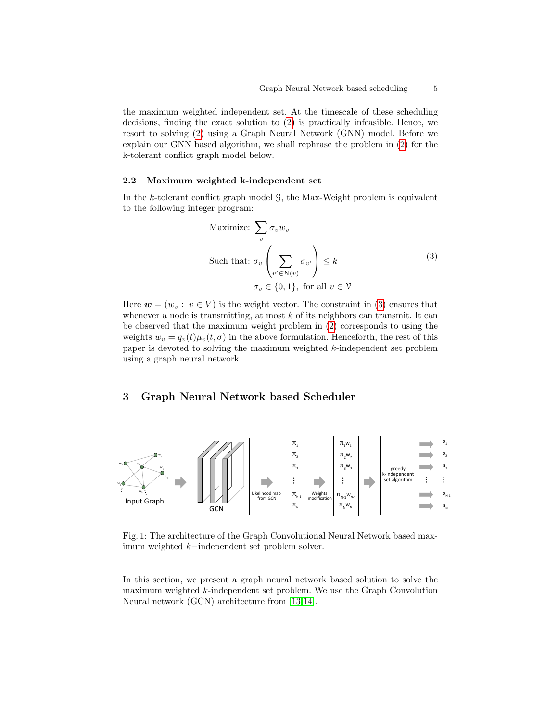the maximum weighted independent set. At the timescale of these scheduling decisions, finding the exact solution to [\(2\)](#page-3-0) is practically infeasible. Hence, we resort to solving [\(2\)](#page-3-0) using a Graph Neural Network (GNN) model. Before we explain our GNN based algorithm, we shall rephrase the problem in [\(2\)](#page-3-0) for the k-tolerant conflict graph model below.

## 2.2 Maximum weighted k-independent set

In the  $k$ -tolerant conflict graph model  $\mathcal{G}$ , the Max-Weight problem is equivalent to the following integer program:

<span id="page-4-1"></span>Maximize: 
$$
\sum_{v} \sigma_{v} w_{v}
$$
  
Such that: 
$$
\sigma_{v} \left( \sum_{v' \in \mathcal{N}(v)} \sigma_{v'} \right) \leq k
$$

$$
\sigma_{v} \in \{0, 1\}, \text{ for all } v \in \mathcal{V}
$$

$$
(3)
$$

Here  $w = (w_v : v \in V)$  is the weight vector. The constraint in [\(3\)](#page-4-1) ensures that whenever a node is transmitting, at most  $k$  of its neighbors can transmit. It can be observed that the maximum weight problem in [\(2\)](#page-3-0) corresponds to using the weights  $w_v = q_v(t) \mu_v(t, \sigma)$  in the above formulation. Henceforth, the rest of this paper is devoted to solving the maximum weighted k-independent set problem using a graph neural network.

# <span id="page-4-0"></span>3 Graph Neural Network based Scheduler

<span id="page-4-2"></span>

Fig. 1: The architecture of the Graph Convolutional Neural Network based maximum weighted k−independent set problem solver.

In this section, we present a graph neural network based solution to solve the maximum weighted k-independent set problem. We use the Graph Convolution Neural network (GCN) architecture from [\[13,](#page-9-12)[14\]](#page-10-0).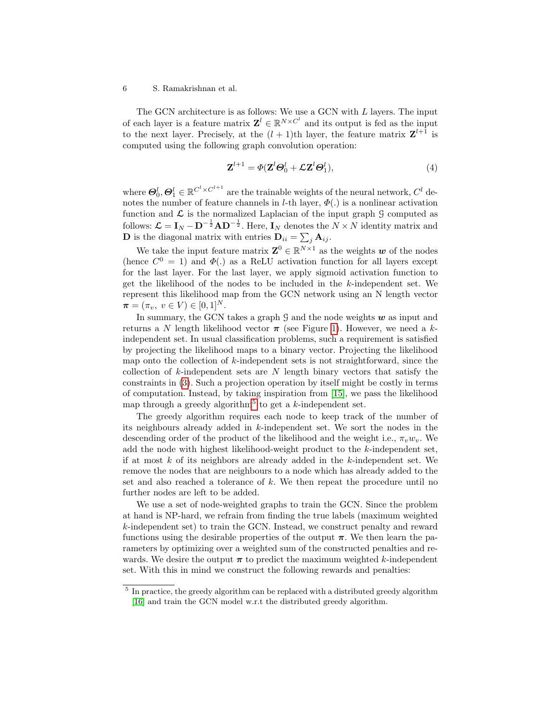The GCN architecture is as follows: We use a GCN with L layers. The input of each layer is a feature matrix  $\mathbf{Z}^l \in \mathbb{R}^{N \times C^l}$  and its output is fed as the input to the next layer. Precisely, at the  $(l + 1)$ th layer, the feature matrix  $\mathbf{Z}^{l+1}$  is computed using the following graph convolution operation:

$$
\mathbf{Z}^{l+1} = \Phi(\mathbf{Z}^l \Theta_0^l + \mathcal{L} \mathbf{Z}^l \Theta_1^l),\tag{4}
$$

where  $\bm{\Theta}_0^l, \bm{\Theta}_1^l \in \mathbb{R}^{C^l \times C^{l+1}}$  are the trainable weights of the neural network,  $C^l$  denotes the number of feature channels in *l*-th layer,  $\Phi(.)$  is a nonlinear activation function and  $\mathcal L$  is the normalized Laplacian of the input graph  $\mathcal G$  computed as follows:  $\mathcal{L} = I_N - D^{-\frac{1}{2}}AD^{-\frac{1}{2}}$ . Here,  $I_N$  denotes the  $N \times N$  identity matrix and **D** is the diagonal matrix with entries  $\mathbf{D}_{ii} = \sum_j \mathbf{A}_{ij}$ .

We take the input feature matrix  $\mathbf{Z}^0 \in \mathbb{R}^{N \times 1}$  as the weights w of the nodes (hence  $C^0 = 1$ ) and  $\Phi(.)$  as a ReLU activation function for all layers except for the last layer. For the last layer, we apply sigmoid activation function to get the likelihood of the nodes to be included in the k-independent set. We represent this likelihood map from the GCN network using an N length vector  $\pi = (\pi_v, v \in V) \in [0, 1]^N$ .

In summary, the GCN takes a graph  $\mathcal G$  and the node weights  $w$  as input and returns a N length likelihood vector  $\pi$  (see Figure [1\)](#page-4-2). However, we need a kindependent set. In usual classification problems, such a requirement is satisfied by projecting the likelihood maps to a binary vector. Projecting the likelihood map onto the collection of  $k$ -independent sets is not straightforward, since the collection of  $k$ -independent sets are  $N$  length binary vectors that satisfy the constraints in [\(3\)](#page-4-1). Such a projection operation by itself might be costly in terms of computation. Instead, by taking inspiration from [\[15\]](#page-10-1), we pass the likelihood map through a greedy algorithm<sup>[5](#page-5-0)</sup> to get a k-independent set.

The greedy algorithm requires each node to keep track of the number of its neighbours already added in  $k$ -independent set. We sort the nodes in the descending order of the product of the likelihood and the weight i.e.,  $\pi_n w_n$ . We add the node with highest likelihood-weight product to the  $k$ -independent set, if at most  $k$  of its neighbors are already added in the  $k$ -independent set. We remove the nodes that are neighbours to a node which has already added to the set and also reached a tolerance of  $k$ . We then repeat the procedure until no further nodes are left to be added.

We use a set of node-weighted graphs to train the GCN. Since the problem at hand is NP-hard, we refrain from finding the true labels (maximum weighted k-independent set) to train the GCN. Instead, we construct penalty and reward functions using the desirable properties of the output  $\pi$ . We then learn the parameters by optimizing over a weighted sum of the constructed penalties and rewards. We desire the output  $\pi$  to predict the maximum weighted k-independent set. With this in mind we construct the following rewards and penalties:

<span id="page-5-0"></span><sup>&</sup>lt;sup>5</sup> In practice, the greedy algorithm can be replaced with a distributed greedy algorithm [\[16\]](#page-10-2) and train the GCN model w.r.t the distributed greedy algorithm.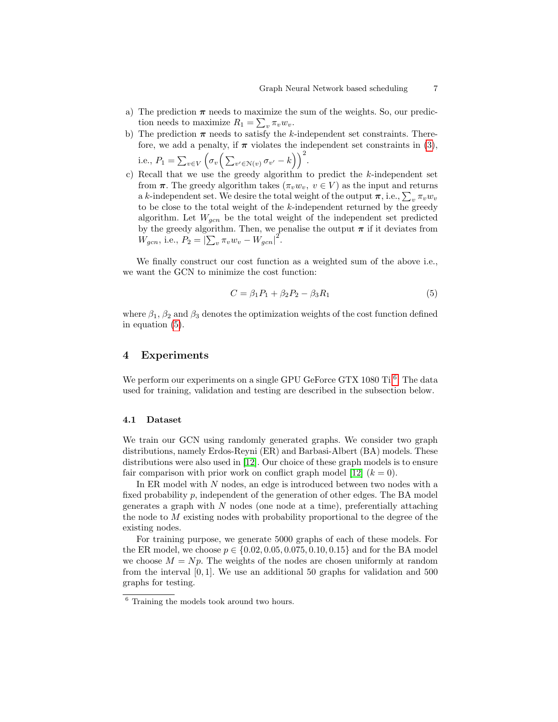- a) The prediction  $\pi$  needs to maximize the sum of the weights. So, our prediction needs to maximize  $R_1 = \sum_v \pi_v w_v$ .
- b) The prediction  $\pi$  needs to satisfy the k-independent set constraints. Therefore, we add a penalty, if  $\pi$  violates the independent set constraints in [\(3\)](#page-4-1), i.e.,  $P_1 = \sum_{v \in V} \left( \sigma_v \left( \sum_{v' \in N(v)} \sigma_{v'} - k \right) \right)^2$ .

c) Recall that we use the greedy algorithm to predict the  $k$ -independent set from  $\pi$ . The greedy algorithm takes  $(\pi_v w_v, v \in V)$  as the input and returns a k-independent set. We desire the total weight of the output  $\boldsymbol{\pi},$  i.e.,  $\sum_{v} \pi_{v} w_{v}$ to be close to the total weight of the k-independent returned by the greedy algorithm. Let  $W_{gcn}$  be the total weight of the independent set predicted by the greedy algorithm. Then, we penalise the output  $\pmb{\pi}$  if it deviates from  $W_{gcn}$ , i.e.,  $P_2 = |\sum_{v} \pi_v w_v - W_{gcn}|^2$ .

We finally construct our cost function as a weighted sum of the above i.e., we want the GCN to minimize the cost function:

<span id="page-6-1"></span>
$$
C = \beta_1 P_1 + \beta_2 P_2 - \beta_3 R_1 \tag{5}
$$

where  $\beta_1$ ,  $\beta_2$  and  $\beta_3$  denotes the optimization weights of the cost function defined in equation [\(5\)](#page-6-1).

# <span id="page-6-0"></span>4 Experiments

We perform our experiments on a single GPU GeForce GTX 1080 Ti<sup>[6](#page-6-2)</sup>. The data used for training, validation and testing are described in the subsection below.

#### 4.1 Dataset

We train our GCN using randomly generated graphs. We consider two graph distributions, namely Erdos-Reyni (ER) and Barbasi-Albert (BA) models. These distributions were also used in [\[12\]](#page-9-11). Our choice of these graph models is to ensure fair comparison with prior work on conflict graph model [\[12\]](#page-9-11)  $(k = 0)$ .

In ER model with N nodes, an edge is introduced between two nodes with a fixed probability  $p$ , independent of the generation of other edges. The BA model generates a graph with  $N$  nodes (one node at a time), preferentially attaching the node to M existing nodes with probability proportional to the degree of the existing nodes.

For training purpose, we generate 5000 graphs of each of these models. For the ER model, we choose  $p \in \{0.02, 0.05, 0.075, 0.10, 0.15\}$  and for the BA model we choose  $M = Np$ . The weights of the nodes are chosen uniformly at random from the interval [0, 1]. We use an additional 50 graphs for validation and 500 graphs for testing.

<span id="page-6-2"></span><sup>6</sup> Training the models took around two hours.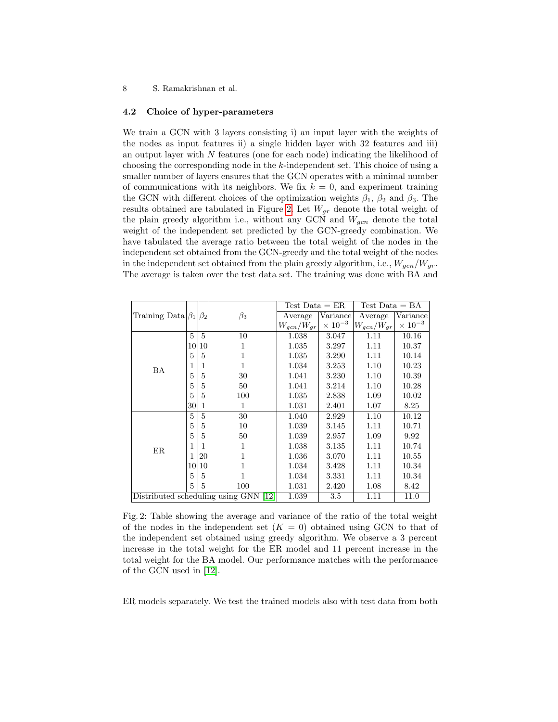## 4.2 Choice of hyper-parameters

We train a GCN with 3 layers consisting i) an input layer with the weights of the nodes as input features ii) a single hidden layer with 32 features and iii) an output layer with  $N$  features (one for each node) indicating the likelihood of choosing the corresponding node in the  $k$ -independent set. This choice of using a smaller number of layers ensures that the GCN operates with a minimal number of communications with its neighbors. We fix  $k = 0$ , and experiment training the GCN with different choices of the optimization weights  $\beta_1$ ,  $\beta_2$  and  $\beta_3$ . The results obtained are tabulated in Figure [2.](#page-7-0) Let  $W_{gr}$  denote the total weight of the plain greedy algorithm i.e., without any GCN and  $W_{gcn}$  denote the total weight of the independent set predicted by the GCN-greedy combination. We have tabulated the average ratio between the total weight of the nodes in the independent set obtained from the GCN-greedy and the total weight of the nodes in the independent set obtained from the plain greedy algorithm, i.e.,  $W_{qcn}/W_{qr}$ . The average is taken over the test data set. The training was done with BA and

<span id="page-7-0"></span>

|                                       |    |    | $\beta_3$ | $Test Data = ER$ |                    | $Test Data = BA$ |                    |
|---------------------------------------|----|----|-----------|------------------|--------------------|------------------|--------------------|
| Training Data $ \beta_1 \beta_2 $     |    |    |           | Average          | Variance           | Average          | Variance           |
|                                       |    |    |           | $W_{qcn}/W_{qr}$ | $\times$ $10^{-3}$ | $W_{gen}/W_{gr}$ | $\times$ $10^{-3}$ |
| BA                                    | 5  | 5  | 10        | 1.038            | 3.047              | 1.11             | 10.16              |
|                                       | 10 | 10 | 1         | 1.035            | 3.297              | 1.11             | 10.37              |
|                                       | 5  | 5  | 1         | 1.035            | 3.290              | 1.11             | 10.14              |
|                                       |    | 1  | 1         | 1.034            | 3.253              | 1.10             | 10.23              |
|                                       | 5  | 5  | 30        | 1.041            | 3.230              | 1.10             | 10.39              |
|                                       | 5  | 5  | 50        | 1.041            | 3.214              | 1.10             | 10.28              |
|                                       | 5  | 5  | 100       | 1.035            | 2.838              | 1.09             | 10.02              |
|                                       | 30 | 1  | 1         | 1.031            | 2.401              | 1.07             | 8.25               |
| ER                                    | 5  | 5  | 30        | 1.040            | 2.929              | 1.10             | 10.12              |
|                                       | 5  | 5  | 10        | 1.039            | 3.145              | 1.11             | 10.71              |
|                                       | 5  | 5  | 50        | 1.039            | 2.957              | 1.09             | 9.92               |
|                                       | 1  | 1  | 1         | 1.038            | 3.135              | 1.11             | 10.74              |
|                                       |    | 20 | 1         | 1.036            | 3.070              | 1.11             | 10.55              |
|                                       | 10 | 10 | 1         | 1.034            | 3.428              | 1.11             | 10.34              |
|                                       | 5  | 5  | 1         | 1.034            | 3.331              | 1.11             | 10.34              |
|                                       | 5  | 5  | 100       | 1.031            | 2.420              | 1.08             | 8.42               |
| Distributed scheduling using GNN [12] |    |    | 1.039     | 3.5              | 1.11               | 11.0             |                    |

Fig. 2: Table showing the average and variance of the ratio of the total weight of the nodes in the independent set  $(K = 0)$  obtained using GCN to that of the independent set obtained using greedy algorithm. We observe a 3 percent increase in the total weight for the ER model and 11 percent increase in the total weight for the BA model. Our performance matches with the performance of the GCN used in [\[12\]](#page-9-11).

ER models separately. We test the trained models also with test data from both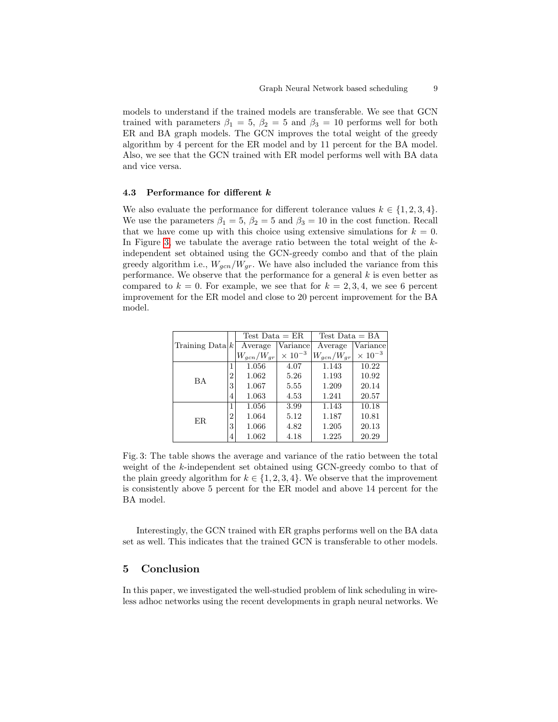models to understand if the trained models are transferable. We see that GCN trained with parameters  $\beta_1 = 5$ ,  $\beta_2 = 5$  and  $\beta_3 = 10$  performs well for both ER and BA graph models. The GCN improves the total weight of the greedy algorithm by 4 percent for the ER model and by 11 percent for the BA model. Also, we see that the GCN trained with ER model performs well with BA data and vice versa.

#### 4.3 Performance for different k

We also evaluate the performance for different tolerance values  $k \in \{1, 2, 3, 4\}.$ We use the parameters  $\beta_1 = 5$ ,  $\beta_2 = 5$  and  $\beta_3 = 10$  in the cost function. Recall that we have come up with this choice using extensive simulations for  $k = 0$ . In Figure [3,](#page-8-1) we tabulate the average ratio between the total weight of the kindependent set obtained using the GCN-greedy combo and that of the plain greedy algorithm i.e.,  $W_{gcn}/W_{gr}$ . We have also included the variance from this performance. We observe that the performance for a general  $k$  is even better as compared to  $k = 0$ . For example, we see that for  $k = 2, 3, 4$ , we see 6 percent improvement for the ER model and close to 20 percent improvement for the BA model.

<span id="page-8-1"></span>

|                     |   | Test Data $=$ ER |                    | Test Data $= BA$ |                    |
|---------------------|---|------------------|--------------------|------------------|--------------------|
| Training Data $ k $ |   | Average          | Variance           | Average          | Variance           |
|                     |   | $W_{qcn}/W_{qr}$ | $\times$ $10^{-3}$ | $W_{qcn}/W_{qr}$ | $\times$ $10^{-3}$ |
|                     | 1 | 1.056            | 4.07               | 1.143            | 10.22              |
| BA                  | 2 | 1.062            | 5.26               | 1.193            | 10.92              |
|                     | 3 | 1.067            | 5.55               | 1.209            | 20.14              |
|                     | 4 | 1.063            | 4.53               | 1.241            | 20.57              |
|                     |   | 1.056            | 3.99               | 1.143            | 10.18              |
| ER.                 | 2 | 1.064            | 5.12               | 1.187            | 10.81              |
|                     | 3 | 1.066            | 4.82               | 1.205            | 20.13              |
|                     | 4 | 1.062            | 4.18               | 1.225            | 20.29              |

Fig. 3: The table shows the average and variance of the ratio between the total weight of the k-independent set obtained using GCN-greedy combo to that of the plain greedy algorithm for  $k \in \{1, 2, 3, 4\}$ . We observe that the improvement is consistently above 5 percent for the ER model and above 14 percent for the BA model.

Interestingly, the GCN trained with ER graphs performs well on the BA data set as well. This indicates that the trained GCN is transferable to other models.

## <span id="page-8-0"></span>5 Conclusion

In this paper, we investigated the well-studied problem of link scheduling in wireless adhoc networks using the recent developments in graph neural networks. We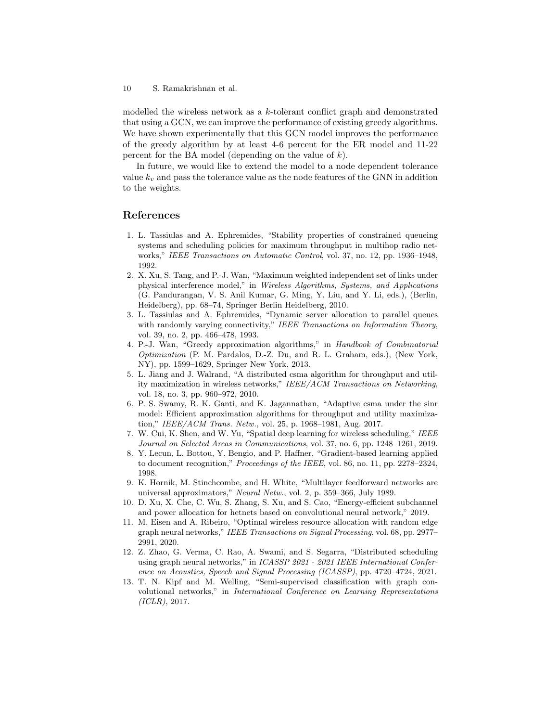modelled the wireless network as a k-tolerant conflict graph and demonstrated that using a GCN, we can improve the performance of existing greedy algorithms. We have shown experimentally that this GCN model improves the performance of the greedy algorithm by at least 4-6 percent for the ER model and 11-22 percent for the BA model (depending on the value of  $k$ ).

In future, we would like to extend the model to a node dependent tolerance value  $k_v$  and pass the tolerance value as the node features of the GNN in addition to the weights.

# References

- <span id="page-9-0"></span>1. L. Tassiulas and A. Ephremides, "Stability properties of constrained queueing systems and scheduling policies for maximum throughput in multihop radio networks," IEEE Transactions on Automatic Control, vol. 37, no. 12, pp. 1936–1948, 1992.
- <span id="page-9-1"></span>2. X. Xu, S. Tang, and P.-J. Wan, "Maximum weighted independent set of links under physical interference model," in Wireless Algorithms, Systems, and Applications (G. Pandurangan, V. S. Anil Kumar, G. Ming, Y. Liu, and Y. Li, eds.), (Berlin, Heidelberg), pp. 68–74, Springer Berlin Heidelberg, 2010.
- <span id="page-9-2"></span>3. L. Tassiulas and A. Ephremides, "Dynamic server allocation to parallel queues with randomly varying connectivity," IEEE Transactions on Information Theory, vol. 39, no. 2, pp. 466–478, 1993.
- <span id="page-9-3"></span>4. P.-J. Wan, "Greedy approximation algorithms," in Handbook of Combinatorial Optimization (P. M. Pardalos, D.-Z. Du, and R. L. Graham, eds.), (New York, NY), pp. 1599–1629, Springer New York, 2013.
- <span id="page-9-4"></span>5. L. Jiang and J. Walrand, "A distributed csma algorithm for throughput and utility maximization in wireless networks," IEEE/ACM Transactions on Networking, vol. 18, no. 3, pp. 960–972, 2010.
- <span id="page-9-5"></span>6. P. S. Swamy, R. K. Ganti, and K. Jagannathan, "Adaptive csma under the sinr model: Efficient approximation algorithms for throughput and utility maximization," IEEE/ACM Trans. Netw., vol. 25, p. 1968–1981, Aug. 2017.
- <span id="page-9-6"></span>7. W. Cui, K. Shen, and W. Yu, "Spatial deep learning for wireless scheduling," IEEE Journal on Selected Areas in Communications, vol. 37, no. 6, pp. 1248–1261, 2019.
- <span id="page-9-7"></span>8. Y. Lecun, L. Bottou, Y. Bengio, and P. Haffner, "Gradient-based learning applied to document recognition," Proceedings of the IEEE, vol. 86, no. 11, pp. 2278–2324, 1998.
- <span id="page-9-8"></span>9. K. Hornik, M. Stinchcombe, and H. White, "Multilayer feedforward networks are universal approximators," Neural Netw., vol. 2, p. 359–366, July 1989.
- <span id="page-9-9"></span>10. D. Xu, X. Che, C. Wu, S. Zhang, S. Xu, and S. Cao, "Energy-efficient subchannel and power allocation for hetnets based on convolutional neural network," 2019.
- <span id="page-9-10"></span>11. M. Eisen and A. Ribeiro, "Optimal wireless resource allocation with random edge graph neural networks," IEEE Transactions on Signal Processing, vol. 68, pp. 2977– 2991, 2020.
- <span id="page-9-11"></span>12. Z. Zhao, G. Verma, C. Rao, A. Swami, and S. Segarra, "Distributed scheduling using graph neural networks," in ICASSP 2021 - 2021 IEEE International Conference on Acoustics, Speech and Signal Processing (ICASSP), pp. 4720–4724, 2021.
- <span id="page-9-12"></span>13. T. N. Kipf and M. Welling, "Semi-supervised classification with graph convolutional networks," in International Conference on Learning Representations (ICLR), 2017.